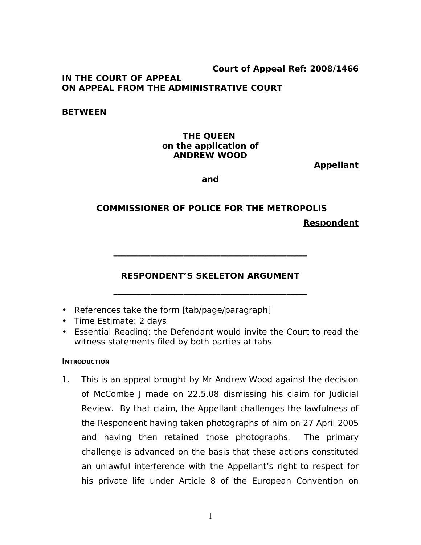### **Court of Appeal Ref: 2008/1466**

#### **IN THE COURT OF APPEAL ON APPEAL FROM THE ADMINISTRATIVE COURT**

#### **BETWEEN**

### **THE QUEEN on the application of ANDREW WOOD**

**Appellant**

**and**

# **COMMISSIONER OF POLICE FOR THE METROPOLIS Respondent**

## **RESPONDENT'S SKELETON ARGUMENT**

**\_\_\_\_\_\_\_\_\_\_\_\_\_\_\_\_\_\_\_\_\_\_\_\_\_\_\_\_\_\_\_\_\_\_\_\_\_\_\_\_\_\_\_\_\_\_\_**

**\_\_\_\_\_\_\_\_\_\_\_\_\_\_\_\_\_\_\_\_\_\_\_\_\_\_\_\_\_\_\_\_\_\_\_\_\_\_\_\_\_\_\_\_\_\_\_**

- References take the form [tab/page/paragraph]
- Time Estimate: 2 days
- Essential Reading: the Defendant would invite the Court to read the witness statements filed by both parties at tabs

#### **INTRODUCTION**

1. This is an appeal brought by Mr Andrew Wood against the decision of McCombe J made on 22.5.08 dismissing his claim for Judicial Review. By that claim, the Appellant challenges the lawfulness of the Respondent having taken photographs of him on 27 April 2005 and having then retained those photographs. The primary challenge is advanced on the basis that these actions constituted an unlawful interference with the Appellant's right to respect for his private life under Article 8 of the European Convention on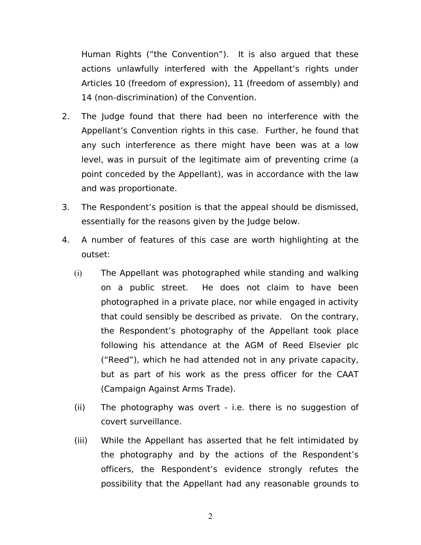Human Rights ("the Convention"). It is also argued that these actions unlawfully interfered with the Appellant's rights under Articles 10 (freedom of expression), 11 (freedom of assembly) and 14 (non-discrimination) of the Convention.

- 2. The Judge found that there had been no interference with the Appellant's Convention rights in this case. Further, he found that any such interference as there might have been was at a low level, was in pursuit of the legitimate aim of preventing crime (a point conceded by the Appellant), was in accordance with the law and was proportionate.
- 3. The Respondent's position is that the appeal should be dismissed, essentially for the reasons given by the Judge below.
- 4. A number of features of this case are worth highlighting at the outset:
	- (i) The Appellant was photographed while standing and walking on a public street. He does not claim to have been photographed in a private place, nor while engaged in activity that could sensibly be described as private. On the contrary, the Respondent's photography of the Appellant took place following his attendance at the AGM of Reed Elsevier plc ("Reed"), which he had attended not in any private capacity, but as part of his work as the press officer for the CAAT (Campaign Against Arms Trade).
	- (ii) The photography was overt i.e. there is no suggestion of covert surveillance.
	- (iii) While the Appellant has asserted that he felt intimidated by the photography and by the actions of the Respondent's officers, the Respondent's evidence strongly refutes the possibility that the Appellant had any reasonable grounds to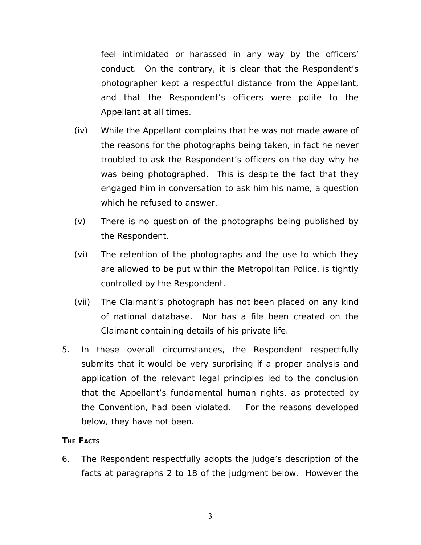feel intimidated or harassed in any way by the officers' conduct. On the contrary, it is clear that the Respondent's photographer kept a respectful distance from the Appellant, and that the Respondent's officers were polite to the Appellant at all times.

- (iv) While the Appellant complains that he was not made aware of the reasons for the photographs being taken, in fact he never troubled to ask the Respondent's officers on the day why he was being photographed. This is despite the fact that they engaged him in conversation to ask him his name, a question which he refused to answer.
- (v) There is no question of the photographs being published by the Respondent.
- (vi) The retention of the photographs and the use to which they are allowed to be put within the Metropolitan Police, is tightly controlled by the Respondent.
- (vii) The Claimant's photograph has not been placed on any kind of national database. Nor has a file been created on the Claimant containing details of his private life.
- 5. In these overall circumstances, the Respondent respectfully submits that it would be very surprising if a proper analysis and application of the relevant legal principles led to the conclusion that the Appellant's fundamental human rights, as protected by the Convention, had been violated. For the reasons developed below, they have not been.

## **THE FACTS**

6. The Respondent respectfully adopts the Judge's description of the facts at paragraphs 2 to 18 of the judgment below. However the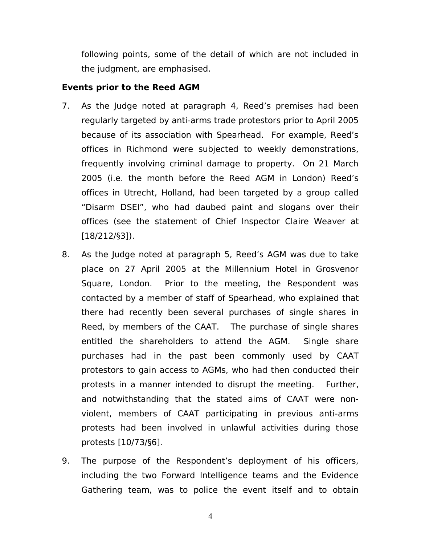following points, some of the detail of which are not included in the judgment, are emphasised.

## **Events prior to the Reed AGM**

- 7. As the Judge noted at paragraph 4, Reed's premises had been regularly targeted by anti-arms trade protestors prior to April 2005 because of its association with Spearhead. For example, Reed's offices in Richmond were subjected to weekly demonstrations, frequently involving criminal damage to property. On 21 March 2005 (i.e. the month before the Reed AGM in London) Reed's offices in Utrecht, Holland, had been targeted by a group called "Disarm DSEI", who had daubed paint and slogans over their offices (see the statement of Chief Inspector Claire Weaver at [18/212/§3]).
- 8. As the Judge noted at paragraph 5, Reed's AGM was due to take place on 27 April 2005 at the Millennium Hotel in Grosvenor Square, London. Prior to the meeting, the Respondent was contacted by a member of staff of Spearhead, who explained that there had recently been several purchases of single shares in Reed, by members of the CAAT. The purchase of single shares entitled the shareholders to attend the AGM. Single share purchases had in the past been commonly used by CAAT protestors to gain access to AGMs, who had then conducted their protests in a manner intended to disrupt the meeting. Further, and notwithstanding that the stated aims of CAAT were nonviolent, members of CAAT participating in previous anti-arms protests had been involved in unlawful activities during those protests [10/73/§6].
- 9. The purpose of the Respondent's deployment of his officers, including the two Forward Intelligence teams and the Evidence Gathering team, was to police the event itself and to obtain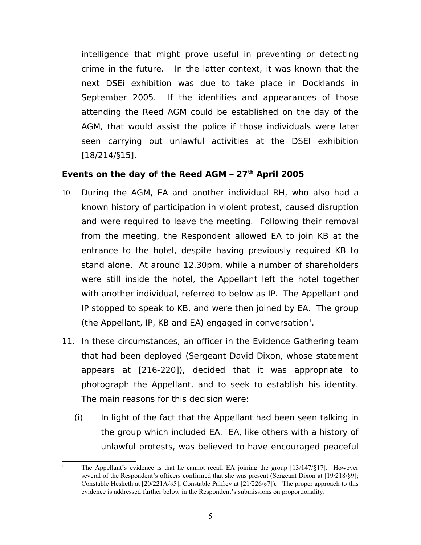intelligence that might prove useful in preventing or detecting crime in the future. In the latter context, it was known that the next DSEi exhibition was due to take place in Docklands in September 2005. If the identities and appearances of those attending the Reed AGM could be established on the day of the AGM, that would assist the police if those individuals were later seen carrying out unlawful activities at the DSEI exhibition [18/214/§15].

# **Events on the day of the Reed AGM – 27th April 2005**

- 10. During the AGM, EA and another individual RH, who also had a known history of participation in violent protest, caused disruption and were required to leave the meeting. Following their removal from the meeting, the Respondent allowed EA to join KB at the entrance to the hotel, despite having previously required KB to stand alone. At around 12.30pm, while a number of shareholders were still inside the hotel, the Appellant left the hotel together with another individual, referred to below as IP. The Appellant and IP stopped to speak to KB, and were then joined by EA. The group (the Appellant, IP, KB and EA) engaged in conversation $1$ .
- 11. In these circumstances, an officer in the Evidence Gathering team that had been deployed (Sergeant David Dixon, whose statement appears at [216-220]), decided that it was appropriate to photograph the Appellant, and to seek to establish his identity. The main reasons for this decision were:
	- (i) In light of the fact that the Appellant had been seen talking in the group which included EA. EA, like others with a history of unlawful protests, was believed to have encouraged peaceful

<span id="page-4-0"></span><sup>&</sup>lt;sup>1</sup> The Appellant's evidence is that he cannot recall EA joining the group  $[13/147/\$17]$ . However several of the Respondent's officers confirmed that she was present (Sergeant Dixon at [19/218/§9]; Constable Hesketh at [20/221A/§5]; Constable Palfrey at [21/226/§7]). The proper approach to this evidence is addressed further below in the Respondent's submissions on proportionality.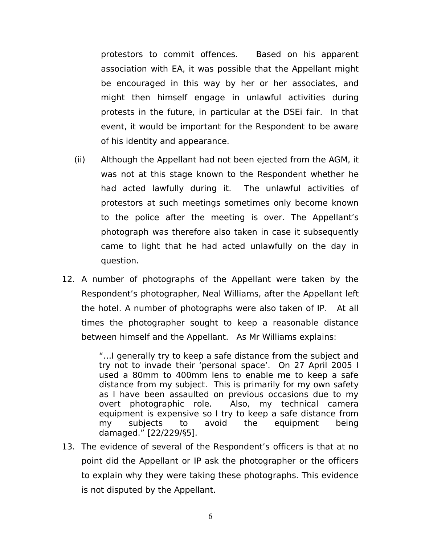protestors to commit offences. Based on his apparent association with EA, it was possible that the Appellant might be encouraged in this way by her or her associates, and might then himself engage in unlawful activities during protests in the future, in particular at the DSEi fair. In that event, it would be important for the Respondent to be aware of his identity and appearance.

- (ii) Although the Appellant had not been ejected from the AGM, it was not at this stage known to the Respondent whether he had acted lawfully during it. The unlawful activities of protestors at such meetings sometimes only become known to the police after the meeting is over. The Appellant's photograph was therefore also taken in case it subsequently came to light that he had acted unlawfully on the day in question.
- 12. A number of photographs of the Appellant were taken by the Respondent's photographer, Neal Williams, after the Appellant left the hotel. A number of photographs were also taken of IP. At all times the photographer sought to keep a reasonable distance between himself and the Appellant. As Mr Williams explains:

"…I generally try to keep a safe distance from the subject and try not to invade their 'personal space'. On 27 April 2005 I used a 80mm to 400mm lens to enable me to keep a safe distance from my subject. This is primarily for my own safety as I have been assaulted on previous occasions due to my overt photographic role. Also, my technical camera equipment is expensive so I try to keep a safe distance from my subjects to avoid the equipment being damaged." [22/229/§5].

13. The evidence of several of the Respondent's officers is that at no point did the Appellant or IP ask the photographer or the officers to explain why they were taking these photographs. This evidence is not disputed by the Appellant.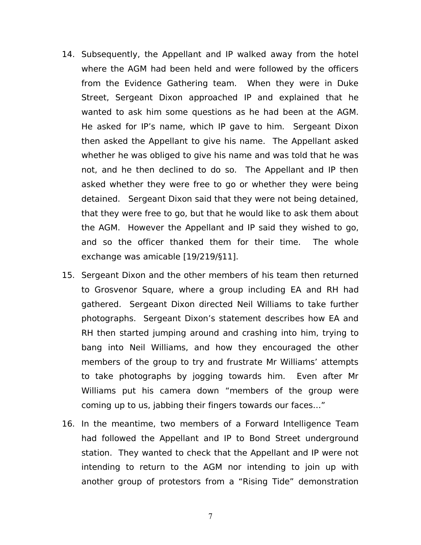- 14. Subsequently, the Appellant and IP walked away from the hotel where the AGM had been held and were followed by the officers from the Evidence Gathering team. When they were in Duke Street, Sergeant Dixon approached IP and explained that he wanted to ask him some questions as he had been at the AGM. He asked for IP's name, which IP gave to him. Sergeant Dixon then asked the Appellant to give his name. The Appellant asked whether he was obliged to give his name and was told that he was not, and he then declined to do so. The Appellant and IP then asked whether they were free to go or whether they were being detained. Sergeant Dixon said that they were not being detained, that they were free to go, but that he would like to ask them about the AGM. However the Appellant and IP said they wished to go, and so the officer thanked them for their time. The whole exchange was amicable [19/219/§11].
- 15. Sergeant Dixon and the other members of his team then returned to Grosvenor Square, where a group including EA and RH had gathered. Sergeant Dixon directed Neil Williams to take further photographs. Sergeant Dixon's statement describes how EA and RH then started jumping around and crashing into him, trying to bang into Neil Williams, and how they encouraged the other members of the group to try and frustrate Mr Williams' attempts to take photographs by jogging towards him. Even after Mr Williams put his camera down "members of the group were coming up to us, jabbing their fingers towards our faces…"
- 16. In the meantime, two members of a Forward Intelligence Team had followed the Appellant and IP to Bond Street underground station. They wanted to check that the Appellant and IP were not intending to return to the AGM nor intending to join up with another group of protestors from a "Rising Tide" demonstration

7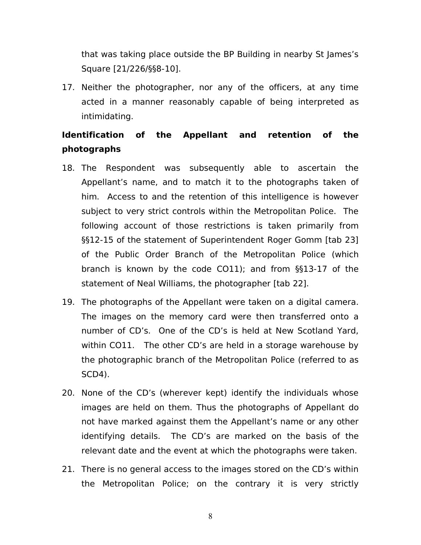that was taking place outside the BP Building in nearby St James's Square [21/226/§§8-10].

17. Neither the photographer, nor any of the officers, at any time acted in a manner reasonably capable of being interpreted as intimidating.

# **Identification of the Appellant and retention of the photographs**

- 18. The Respondent was subsequently able to ascertain the Appellant's name, and to match it to the photographs taken of him. Access to and the retention of this intelligence is however subject to very strict controls within the Metropolitan Police. The following account of those restrictions is taken primarily from §§12-15 of the statement of Superintendent Roger Gomm [tab 23] of the Public Order Branch of the Metropolitan Police (which branch is known by the code CO11); and from §§13-17 of the statement of Neal Williams, the photographer [tab 22].
- 19. The photographs of the Appellant were taken on a digital camera. The images on the memory card were then transferred onto a number of CD's. One of the CD's is held at New Scotland Yard, within CO11. The other CD's are held in a storage warehouse by the photographic branch of the Metropolitan Police (referred to as SCD4).
- 20. None of the CD's (wherever kept) identify the individuals whose images are held on them. Thus the photographs of Appellant do not have marked against them the Appellant's name or any other identifying details. The CD's are marked on the basis of the relevant date and the event at which the photographs were taken.
- 21. There is no general access to the images stored on the CD's within the Metropolitan Police; on the contrary it is very strictly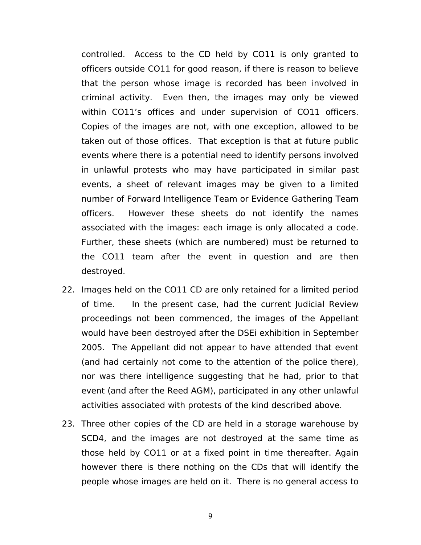controlled. Access to the CD held by CO11 is only granted to officers outside CO11 for good reason, if there is reason to believe that the person whose image is recorded has been involved in criminal activity. Even then, the images may only be viewed within CO11's offices and under supervision of CO11 officers. Copies of the images are not, with one exception, allowed to be taken out of those offices. That exception is that at future public events where there is a potential need to identify persons involved in unlawful protests who may have participated in similar past events, a sheet of relevant images may be given to a limited number of Forward Intelligence Team or Evidence Gathering Team officers. However these sheets do not identify the names associated with the images: each image is only allocated a code. Further, these sheets (which are numbered) must be returned to the CO11 team after the event in question and are then destroyed.

- 22. Images held on the CO11 CD are only retained for a limited period of time. In the present case, had the current Judicial Review proceedings not been commenced, the images of the Appellant would have been destroyed after the DSEi exhibition in September 2005. The Appellant did not appear to have attended that event (and had certainly not come to the attention of the police there), nor was there intelligence suggesting that he had, prior to that event (and after the Reed AGM), participated in any other unlawful activities associated with protests of the kind described above.
- 23. Three other copies of the CD are held in a storage warehouse by SCD4, and the images are not destroyed at the same time as those held by CO11 or at a fixed point in time thereafter. Again however there is there nothing on the CDs that will identify the people whose images are held on it. There is no general access to

9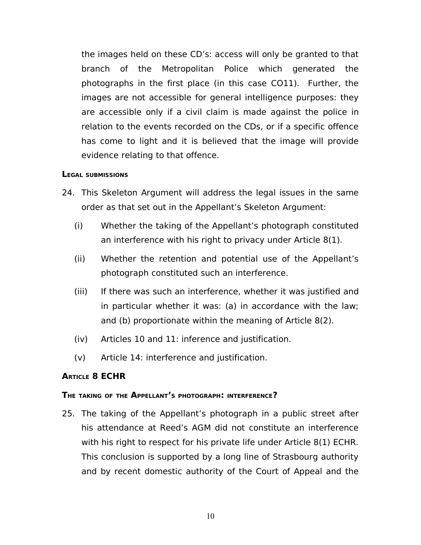the images held on these CD's: access will only be granted to that branch of the Metropolitan Police which generated the photographs in the first place (in this case CO11). Further, the images are not accessible for general intelligence purposes: they are accessible only if a civil claim is made against the police in relation to the events recorded on the CDs, or if a specific offence has come to light and it is believed that the image will provide evidence relating to that offence.

### **LEGAL SUBMISSIONS**

- 24. This Skeleton Argument will address the legal issues in the same order as that set out in the Appellant's Skeleton Argument:
	- (i) Whether the taking of the Appellant's photograph constituted an interference with his right to privacy under Article 8(1).
	- (ii) Whether the retention and potential use of the Appellant's photograph constituted such an interference.
	- (iii) If there was such an interference, whether it was justified and in particular whether it was: (a) in accordance with the law; and (b) proportionate within the meaning of Article 8(2).
	- (iv) Articles 10 and 11: inference and justification.
	- (v) Article 14: interference and justification.

# **ARTICLE 8 ECHR**

## **THE TAKING OF THE APPELLANT'<sup>S</sup> PHOTOGRAPH: INTERFERENCE?**

25. The taking of the Appellant's photograph in a public street after his attendance at Reed's AGM did not constitute an interference with his right to respect for his private life under Article 8(1) ECHR. This conclusion is supported by a long line of Strasbourg authority and by recent domestic authority of the Court of Appeal and the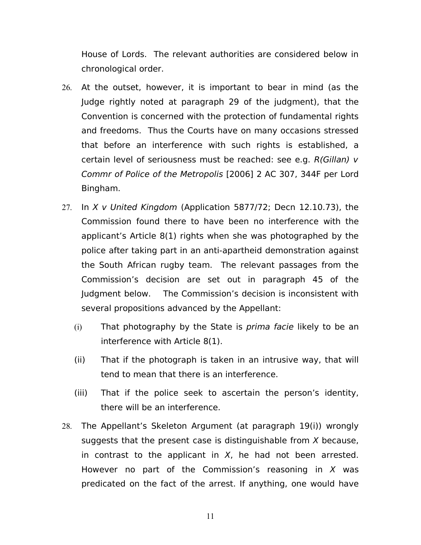House of Lords. The relevant authorities are considered below in chronological order.

- 26. At the outset, however, it is important to bear in mind (as the Judge rightly noted at paragraph 29 of the judgment), that the Convention is concerned with the protection of fundamental rights and freedoms. Thus the Courts have on many occasions stressed that before an interference with such rights is established, a certain level of seriousness must be reached: see e.g. R(Gillan) v Commr of Police of the Metropolis [2006] 2 AC 307, 344F per Lord Bingham.
- 27. In X v United Kingdom (Application 5877/72; Decn 12.10.73), the Commission found there to have been no interference with the applicant's Article 8(1) rights when she was photographed by the police after taking part in an anti-apartheid demonstration against the South African rugby team. The relevant passages from the Commission's decision are set out in paragraph 45 of the Judgment below. The Commission's decision is inconsistent with several propositions advanced by the Appellant:
	- (i) That photography by the State is prima facie likely to be an interference with Article 8(1).
	- (ii) That if the photograph is taken in an intrusive way, that will tend to mean that there is an interference.
	- (iii) That if the police seek to ascertain the person's identity, there will be an interference.
- 28. The Appellant's Skeleton Argument (at paragraph 19(i)) wrongly suggests that the present case is distinguishable from  $X$  because, in contrast to the applicant in  $X$ , he had not been arrested. However no part of the Commission's reasoning in  $X$  was predicated on the fact of the arrest. If anything, one would have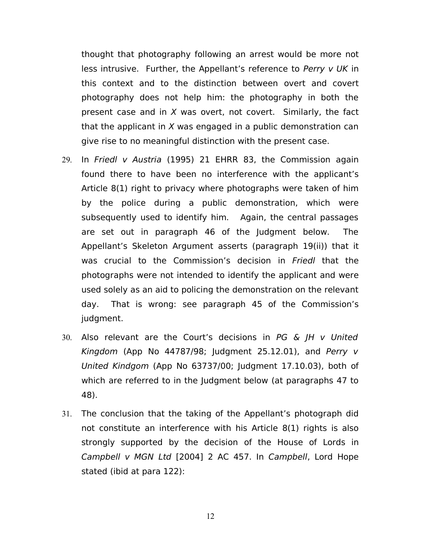thought that photography following an arrest would be more not less intrusive. Further, the Appellant's reference to Perry v UK in this context and to the distinction between overt and covert photography does not help him: the photography in both the present case and in  $X$  was overt, not covert. Similarly, the fact that the applicant in X was engaged in a public demonstration can give rise to no meaningful distinction with the present case.

- 29. In Friedl v Austria (1995) 21 EHRR 83, the Commission again found there to have been no interference with the applicant's Article 8(1) right to privacy where photographs were taken of him by the police during a public demonstration, which were subsequently used to identify him. Again, the central passages are set out in paragraph 46 of the Judgment below. The Appellant's Skeleton Argument asserts (paragraph 19(ii)) that it was crucial to the Commission's decision in *Friedl* that the photographs were not intended to identify the applicant and were used solely as an aid to policing the demonstration on the relevant day. That is wrong: see paragraph 45 of the Commission's judgment.
- 30. Also relevant are the Court's decisions in  $PG$  &  $IH$  v United Kingdom (App No 44787/98; Judgment 25.12.01), and Perry  $v$ United Kindgom (App No 63737/00; Judgment 17.10.03), both of which are referred to in the Judgment below (at paragraphs 47 to 48).
- 31. The conclusion that the taking of the Appellant's photograph did not constitute an interference with his Article 8(1) rights is also strongly supported by the decision of the House of Lords in Campbell v MGN Ltd [2004] 2 AC 457. In Campbell, Lord Hope stated (ibid at para 122):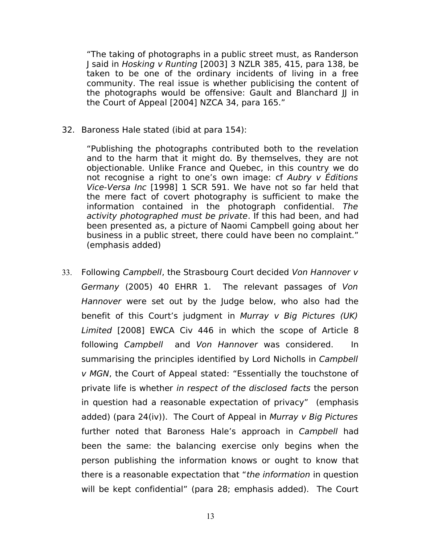"The taking of photographs in a public street must, as Randerson J said in Hosking v Runting [2003] 3 NZLR 385, 415, para 138, be taken to be one of the ordinary incidents of living in a free community. The real issue is whether publicising the content of the photographs would be offensive: Gault and Blanchard JJ in the Court of Appeal [2004] NZCA 34, para 165."

32. Baroness Hale stated (ibid at para 154):

"Publishing the photographs contributed both to the revelation and to the harm that it might do. By themselves, they are not objectionable. Unlike France and Quebec, in this country we do not recognise a right to one's own image: cf Aubry v Éditions Vice-Versa Inc [1998] 1 SCR 591. We have not so far held that the mere fact of covert photography is sufficient to make the information contained in the photograph confidential. The activity photographed must be private. If this had been, and had been presented as, a picture of Naomi Campbell going about her business in a public street, there could have been no complaint." (emphasis added)

33. Following Campbell, the Strasbourg Court decided Von Hannover v Germany (2005) 40 EHRR 1. The relevant passages of Von Hannover were set out by the Judge below, who also had the benefit of this Court's judgment in Murray v Big Pictures (UK) Limited [2008] EWCA Civ 446 in which the scope of Article 8 following Campbell and Von Hannover was considered. In summarising the principles identified by Lord Nicholls in Campbell v MGN, the Court of Appeal stated: "Essentially the touchstone of private life is whether in respect of the disclosed facts the person in question had a reasonable expectation of privacy" (emphasis added) (para 24(iv)). The Court of Appeal in Murray v Big Pictures further noted that Baroness Hale's approach in Campbell had been the same: the balancing exercise only begins when the person publishing the information knows or ought to know that there is a reasonable expectation that "the information in question will be kept confidential" (para 28; emphasis added). The Court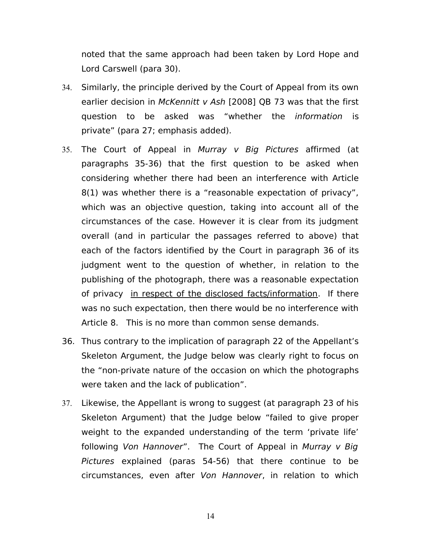noted that the same approach had been taken by Lord Hope and Lord Carswell (para 30).

- 34. Similarly, the principle derived by the Court of Appeal from its own earlier decision in McKennitt v Ash [2008] QB 73 was that the first question to be asked was "whether the information is private" (para 27; emphasis added).
- 35. The Court of Appeal in Murray v Big Pictures affirmed (at paragraphs 35-36) that the first question to be asked when considering whether there had been an interference with Article 8(1) was whether there is a "reasonable expectation of privacy", which was an objective question, taking into account all of the circumstances of the case. However it is clear from its judgment overall (and in particular the passages referred to above) that each of the factors identified by the Court in paragraph 36 of its judgment went to the question of whether, in relation to the publishing of the photograph, there was a reasonable expectation of privacy in respect of the disclosed facts/information. If there was no such expectation, then there would be no interference with Article 8. This is no more than common sense demands.
- 36. Thus contrary to the implication of paragraph 22 of the Appellant's Skeleton Argument, the Judge below was clearly right to focus on the "non-private nature of the occasion on which the photographs were taken and the lack of publication".
- 37. Likewise, the Appellant is wrong to suggest (at paragraph 23 of his Skeleton Argument) that the Judge below "failed to give proper weight to the expanded understanding of the term 'private life' following Von Hannover". The Court of Appeal in Murray v Big Pictures explained (paras 54-56) that there continue to be circumstances, even after Von Hannover, in relation to which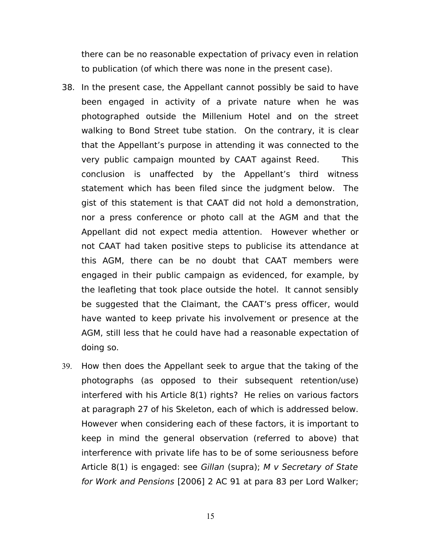there can be no reasonable expectation of privacy even in relation to publication (of which there was none in the present case).

- 38. In the present case, the Appellant cannot possibly be said to have been engaged in activity of a private nature when he was photographed outside the Millenium Hotel and on the street walking to Bond Street tube station. On the contrary, it is clear that the Appellant's purpose in attending it was connected to the very public campaign mounted by CAAT against Reed. This conclusion is unaffected by the Appellant's third witness statement which has been filed since the judgment below. The gist of this statement is that CAAT did not hold a demonstration, nor a press conference or photo call at the AGM and that the Appellant did not expect media attention. However whether or not CAAT had taken positive steps to publicise its attendance at this AGM, there can be no doubt that CAAT members were engaged in their public campaign as evidenced, for example, by the leafleting that took place outside the hotel. It cannot sensibly be suggested that the Claimant, the CAAT's press officer, would have wanted to keep private his involvement or presence at the AGM, still less that he could have had a reasonable expectation of doing so.
- 39. How then does the Appellant seek to argue that the taking of the photographs (as opposed to their subsequent retention/use) interfered with his Article 8(1) rights? He relies on various factors at paragraph 27 of his Skeleton, each of which is addressed below. However when considering each of these factors, it is important to keep in mind the general observation (referred to above) that interference with private life has to be of some seriousness before Article  $8(1)$  is engaged: see Gillan (supra); M v Secretary of State for Work and Pensions [2006] 2 AC 91 at para 83 per Lord Walker;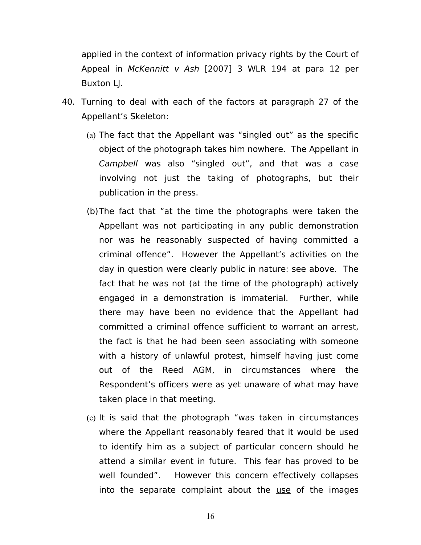applied in the context of information privacy rights by the Court of Appeal in McKennitt v Ash [2007] 3 WLR 194 at para 12 per Buxton LJ.

- 40. Turning to deal with each of the factors at paragraph 27 of the Appellant's Skeleton:
	- (a) The fact that the Appellant was "singled out" as the specific object of the photograph takes him nowhere. The Appellant in Campbell was also "singled out", and that was a case involving not just the taking of photographs, but their publication in the press.
	- (b)The fact that "at the time the photographs were taken the Appellant was not participating in any public demonstration nor was he reasonably suspected of having committed a criminal offence". However the Appellant's activities on the day in question were clearly public in nature: see above. The fact that he was not (at the time of the photograph) actively engaged in a demonstration is immaterial. Further, while there may have been no evidence that the Appellant had committed a criminal offence sufficient to warrant an arrest, the fact is that he had been seen associating with someone with a history of unlawful protest, himself having just come out of the Reed AGM, in circumstances where the Respondent's officers were as yet unaware of what may have taken place in that meeting.
	- (c) It is said that the photograph "was taken in circumstances where the Appellant reasonably feared that it would be used to identify him as a subject of particular concern should he attend a similar event in future. This fear has proved to be well founded". However this concern effectively collapses into the separate complaint about the use of the images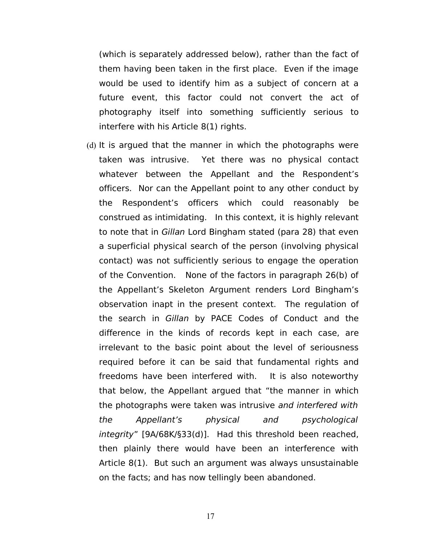(which is separately addressed below), rather than the fact of them having been taken in the first place. Even if the image would be used to identify him as a subject of concern at a future event, this factor could not convert the act of photography itself into something sufficiently serious to interfere with his Article 8(1) rights.

(d) It is argued that the manner in which the photographs were taken was intrusive. Yet there was no physical contact whatever between the Appellant and the Respondent's officers. Nor can the Appellant point to any other conduct by the Respondent's officers which could reasonably be construed as intimidating. In this context, it is highly relevant to note that in Gillan Lord Bingham stated (para 28) that even a superficial physical search of the person (involving physical contact) was not sufficiently serious to engage the operation of the Convention. None of the factors in paragraph 26(b) of the Appellant's Skeleton Argument renders Lord Bingham's observation inapt in the present context. The regulation of the search in Gillan by PACE Codes of Conduct and the difference in the kinds of records kept in each case, are irrelevant to the basic point about the level of seriousness required before it can be said that fundamental rights and freedoms have been interfered with. It is also noteworthy that below, the Appellant argued that "the manner in which the photographs were taken was intrusive and interfered with the Appellant's physical and psychological integrity" [9A/68K/§33(d)]. Had this threshold been reached, then plainly there would have been an interference with Article 8(1). But such an argument was always unsustainable on the facts; and has now tellingly been abandoned.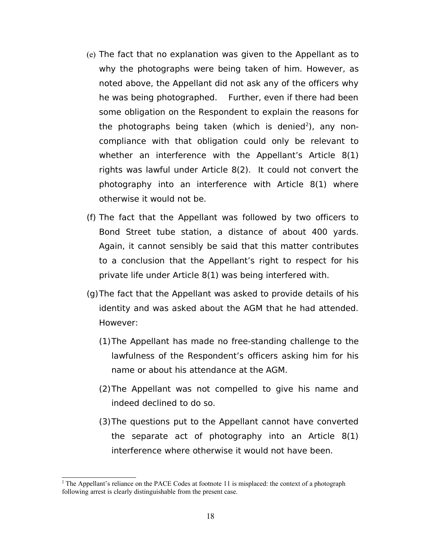- (e) The fact that no explanation was given to the Appellant as to why the photographs were being taken of him. However, as noted above, the Appellant did not ask any of the officers why he was being photographed. Further, even if there had been some obligation on the Respondent to explain the reasons for the photographs being taken (which is denied<sup>[2](#page-17-0)</sup>), any noncompliance with that obligation could only be relevant to whether an interference with the Appellant's Article 8(1) rights was lawful under Article 8(2). It could not convert the photography into an interference with Article 8(1) where otherwise it would not be.
- (f) The fact that the Appellant was followed by two officers to Bond Street tube station, a distance of about 400 yards. Again, it cannot sensibly be said that this matter contributes to a conclusion that the Appellant's right to respect for his private life under Article 8(1) was being interfered with.
- (g)The fact that the Appellant was asked to provide details of his identity and was asked about the AGM that he had attended. However:
	- (1)The Appellant has made no free-standing challenge to the lawfulness of the Respondent's officers asking him for his name or about his attendance at the AGM.
	- (2)The Appellant was not compelled to give his name and indeed declined to do so.
	- (3)The questions put to the Appellant cannot have converted the separate act of photography into an Article 8(1) interference where otherwise it would not have been.

<span id="page-17-0"></span><sup>&</sup>lt;sup>2</sup> The Appellant's reliance on the PACE Codes at footnote 11 is misplaced: the context of a photograph following arrest is clearly distinguishable from the present case.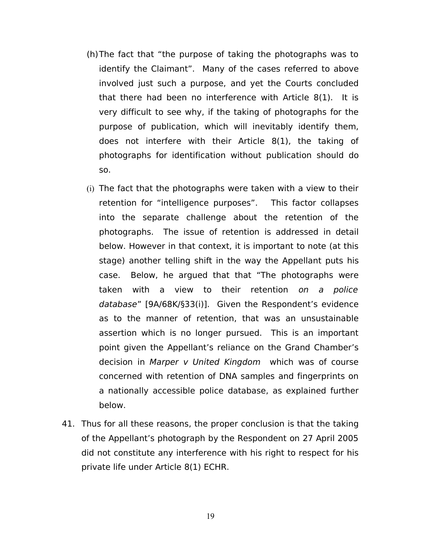- (h)The fact that "the purpose of taking the photographs was to identify the Claimant". Many of the cases referred to above involved just such a purpose, and yet the Courts concluded that there had been no interference with Article 8(1). It is very difficult to see why, if the taking of photographs for the purpose of publication, which will inevitably identify them, does not interfere with their Article 8(1), the taking of photographs for identification without publication should do so.
- (i) The fact that the photographs were taken with a view to their retention for "intelligence purposes". This factor collapses into the separate challenge about the retention of the photographs. The issue of retention is addressed in detail below. However in that context, it is important to note (at this stage) another telling shift in the way the Appellant puts his case. Below, he argued that that "The photographs were taken with a view to their retention on a police database" [9A/68K/§33(i)]. Given the Respondent's evidence as to the manner of retention, that was an unsustainable assertion which is no longer pursued. This is an important point given the Appellant's reliance on the Grand Chamber's decision in Marper v United Kingdom which was of course concerned with retention of DNA samples and fingerprints on a nationally accessible police database, as explained further below.
- 41. Thus for all these reasons, the proper conclusion is that the taking of the Appellant's photograph by the Respondent on 27 April 2005 did not constitute any interference with his right to respect for his private life under Article 8(1) ECHR.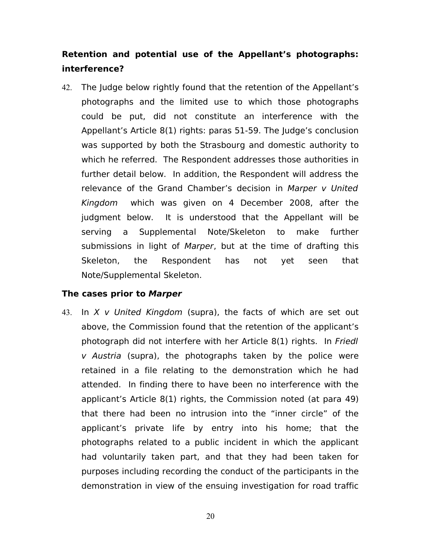# **Retention and potential use of the Appellant's photographs: interference?**

42. The Judge below rightly found that the retention of the Appellant's photographs and the limited use to which those photographs could be put, did not constitute an interference with the Appellant's Article 8(1) rights: paras 51-59. The Judge's conclusion was supported by both the Strasbourg and domestic authority to which he referred. The Respondent addresses those authorities in further detail below. In addition, the Respondent will address the relevance of the Grand Chamber's decision in Marper v United Kingdom which was given on 4 December 2008, after the judgment below. It is understood that the Appellant will be serving a Supplemental Note/Skeleton to make further submissions in light of Marper, but at the time of drafting this Skeleton, the Respondent has not yet seen that Note/Supplemental Skeleton.

## **The cases prior to Marper**

43. In  $X$  v United Kingdom (supra), the facts of which are set out above, the Commission found that the retention of the applicant's photograph did not interfere with her Article 8(1) rights. In Friedl v Austria (supra), the photographs taken by the police were retained in a file relating to the demonstration which he had attended. In finding there to have been no interference with the applicant's Article 8(1) rights, the Commission noted (at para 49) that there had been no intrusion into the "inner circle" of the applicant's private life by entry into his home; that the photographs related to a public incident in which the applicant had voluntarily taken part, and that they had been taken for purposes including recording the conduct of the participants in the demonstration in view of the ensuing investigation for road traffic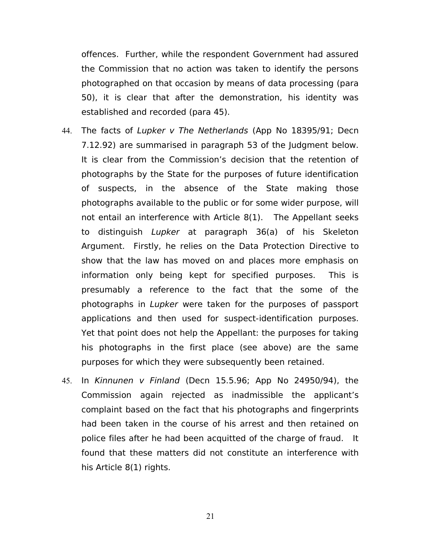offences. Further, while the respondent Government had assured the Commission that no action was taken to identify the persons photographed on that occasion by means of data processing (para 50), it is clear that after the demonstration, his identity was established and recorded (para 45).

- 44. The facts of Lupker v The Netherlands (App No 18395/91; Decn 7.12.92) are summarised in paragraph 53 of the Judgment below. It is clear from the Commission's decision that the retention of photographs by the State for the purposes of future identification of suspects, in the absence of the State making those photographs available to the public or for some wider purpose, will not entail an interference with Article 8(1). The Appellant seeks to distinguish Lupker at paragraph 36(a) of his Skeleton Argument. Firstly, he relies on the Data Protection Directive to show that the law has moved on and places more emphasis on information only being kept for specified purposes. This is presumably a reference to the fact that the some of the photographs in Lupker were taken for the purposes of passport applications and then used for suspect-identification purposes. Yet that point does not help the Appellant: the purposes for taking his photographs in the first place (see above) are the same purposes for which they were subsequently been retained.
- 45. In Kinnunen v Finland (Decn 15.5.96; App No 24950/94), the Commission again rejected as inadmissible the applicant's complaint based on the fact that his photographs and fingerprints had been taken in the course of his arrest and then retained on police files after he had been acquitted of the charge of fraud. It found that these matters did not constitute an interference with his Article 8(1) rights.

21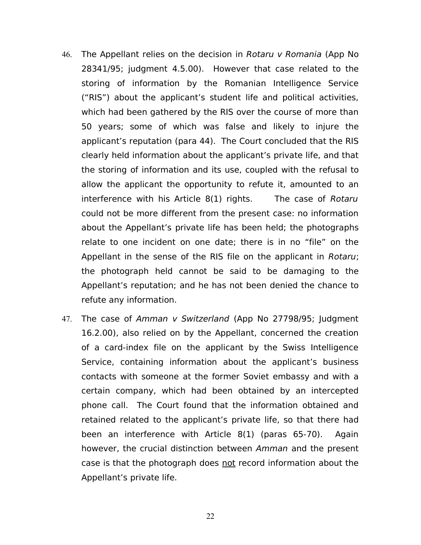- 46. The Appellant relies on the decision in Rotaru v Romania (App No 28341/95; judgment 4.5.00). However that case related to the storing of information by the Romanian Intelligence Service ("RIS") about the applicant's student life and political activities, which had been gathered by the RIS over the course of more than 50 years; some of which was false and likely to injure the applicant's reputation (para 44). The Court concluded that the RIS clearly held information about the applicant's private life, and that the storing of information and its use, coupled with the refusal to allow the applicant the opportunity to refute it, amounted to an interference with his Article 8(1) rights. The case of Rotaru could not be more different from the present case: no information about the Appellant's private life has been held; the photographs relate to one incident on one date; there is in no "file" on the Appellant in the sense of the RIS file on the applicant in Rotaru; the photograph held cannot be said to be damaging to the Appellant's reputation; and he has not been denied the chance to refute any information.
- 47. The case of Amman v Switzerland (App No 27798/95; Judgment 16.2.00), also relied on by the Appellant, concerned the creation of a card-index file on the applicant by the Swiss Intelligence Service, containing information about the applicant's business contacts with someone at the former Soviet embassy and with a certain company, which had been obtained by an intercepted phone call. The Court found that the information obtained and retained related to the applicant's private life, so that there had been an interference with Article 8(1) (paras 65-70). Again however, the crucial distinction between Amman and the present case is that the photograph does not record information about the Appellant's private life.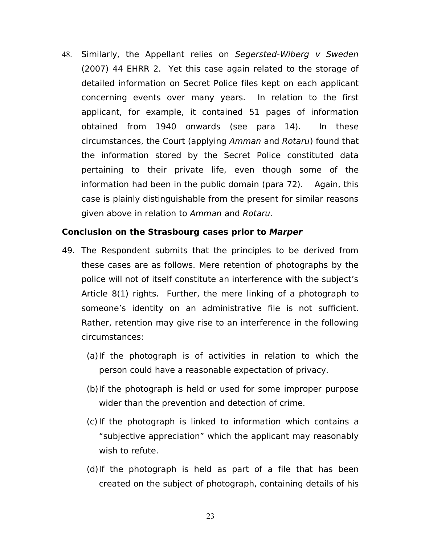48. Similarly, the Appellant relies on Segersted-Wiberg v Sweden (2007) 44 EHRR 2. Yet this case again related to the storage of detailed information on Secret Police files kept on each applicant concerning events over many years. In relation to the first applicant, for example, it contained 51 pages of information obtained from 1940 onwards (see para 14). In these circumstances, the Court (applying Amman and Rotaru) found that the information stored by the Secret Police constituted data pertaining to their private life, even though some of the information had been in the public domain (para 72). Again, this case is plainly distinguishable from the present for similar reasons given above in relation to Amman and Rotaru.

### **Conclusion on the Strasbourg cases prior to Marper**

- 49. The Respondent submits that the principles to be derived from these cases are as follows. Mere retention of photographs by the police will not of itself constitute an interference with the subject's Article 8(1) rights. Further, the mere linking of a photograph to someone's identity on an administrative file is not sufficient. Rather, retention may give rise to an interference in the following circumstances:
	- (a)If the photograph is of activities in relation to which the person could have a reasonable expectation of privacy.
	- (b)If the photograph is held or used for some improper purpose wider than the prevention and detection of crime.
	- (c)If the photograph is linked to information which contains a "subjective appreciation" which the applicant may reasonably wish to refute.
	- (d)If the photograph is held as part of a file that has been created on the subject of photograph, containing details of his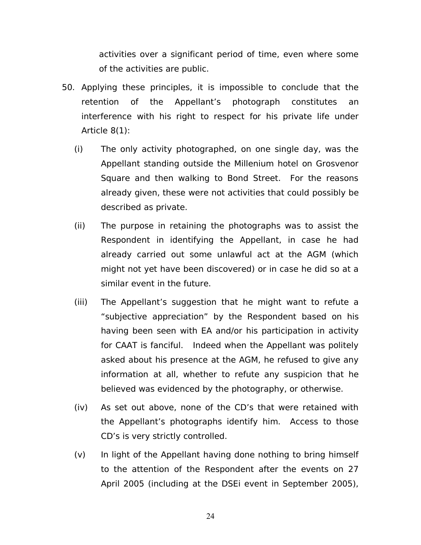activities over a significant period of time, even where some of the activities are public.

- 50. Applying these principles, it is impossible to conclude that the retention of the Appellant's photograph constitutes an interference with his right to respect for his private life under Article 8(1):
	- (i) The only activity photographed, on one single day, was the Appellant standing outside the Millenium hotel on Grosvenor Square and then walking to Bond Street. For the reasons already given, these were not activities that could possibly be described as private.
	- (ii) The purpose in retaining the photographs was to assist the Respondent in identifying the Appellant, in case he had already carried out some unlawful act at the AGM (which might not yet have been discovered) or in case he did so at a similar event in the future.
	- (iii) The Appellant's suggestion that he might want to refute a "subjective appreciation" by the Respondent based on his having been seen with EA and/or his participation in activity for CAAT is fanciful. Indeed when the Appellant was politely asked about his presence at the AGM, he refused to give any information at all, whether to refute any suspicion that he believed was evidenced by the photography, or otherwise.
	- (iv) As set out above, none of the CD's that were retained with the Appellant's photographs identify him. Access to those CD's is very strictly controlled.
	- (v) In light of the Appellant having done nothing to bring himself to the attention of the Respondent after the events on 27 April 2005 (including at the DSEi event in September 2005),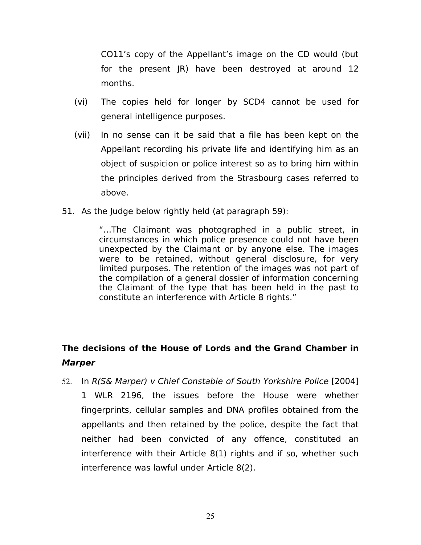CO11's copy of the Appellant's image on the CD would (but for the present JR) have been destroyed at around 12 months.

- (vi) The copies held for longer by SCD4 cannot be used for general intelligence purposes.
- (vii) In no sense can it be said that a file has been kept on the Appellant recording his private life and identifying him as an object of suspicion or police interest so as to bring him within the principles derived from the Strasbourg cases referred to above.
- 51. As the Judge below rightly held (at paragraph 59):

"…The Claimant was photographed in a public street, in circumstances in which police presence could not have been unexpected by the Claimant or by anyone else. The images were to be retained, without general disclosure, for very limited purposes. The retention of the images was not part of the compilation of a general dossier of information concerning the Claimant of the type that has been held in the past to constitute an interference with Article 8 rights."

# **The decisions of the House of Lords and the Grand Chamber in Marper**

52. In R(S& Marper) v Chief Constable of South Yorkshire Police [2004] 1 WLR 2196, the issues before the House were whether fingerprints, cellular samples and DNA profiles obtained from the appellants and then retained by the police, despite the fact that neither had been convicted of any offence, constituted an interference with their Article 8(1) rights and if so, whether such interference was lawful under Article 8(2).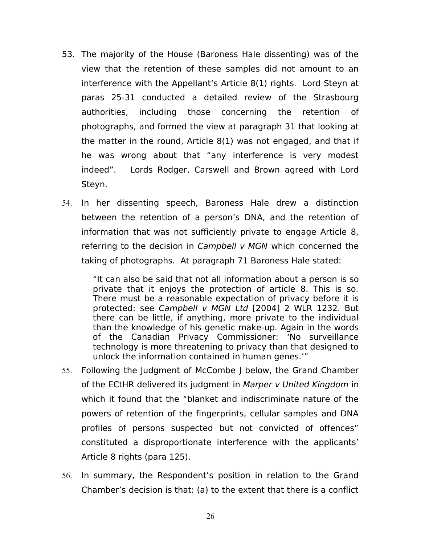- 53. The majority of the House (Baroness Hale dissenting) was of the view that the retention of these samples did not amount to an interference with the Appellant's Article 8(1) rights. Lord Steyn at paras 25-31 conducted a detailed review of the Strasbourg authorities, including those concerning the retention of photographs, and formed the view at paragraph 31 that looking at the matter in the round, Article 8(1) was not engaged, and that if he was wrong about that "any interference is very modest indeed". Lords Rodger, Carswell and Brown agreed with Lord Steyn.
- 54. In her dissenting speech, Baroness Hale drew a distinction between the retention of a person's DNA, and the retention of information that was not sufficiently private to engage Article 8, referring to the decision in Campbell v MGN which concerned the taking of photographs. At paragraph 71 Baroness Hale stated:

"It can also be said that not all information about a person is so private that it enjoys the protection of article 8. This is so. There must be a reasonable expectation of privacy before it is protected: see Campbell v MGN Ltd [2004] 2 WLR 1232. But there can be little, if anything, more private to the individual than the knowledge of his genetic make-up. Again in the words of the Canadian Privacy Commissioner: 'No surveillance technology is more threatening to privacy than that designed to unlock the information contained in human genes.'"

- 55. Following the Judgment of McCombe J below, the Grand Chamber of the ECtHR delivered its judgment in Marper v United Kingdom in which it found that the "blanket and indiscriminate nature of the powers of retention of the fingerprints, cellular samples and DNA profiles of persons suspected but not convicted of offences" constituted a disproportionate interference with the applicants' Article 8 rights (para 125).
- 56. In summary, the Respondent's position in relation to the Grand Chamber's decision is that: (a) to the extent that there is a conflict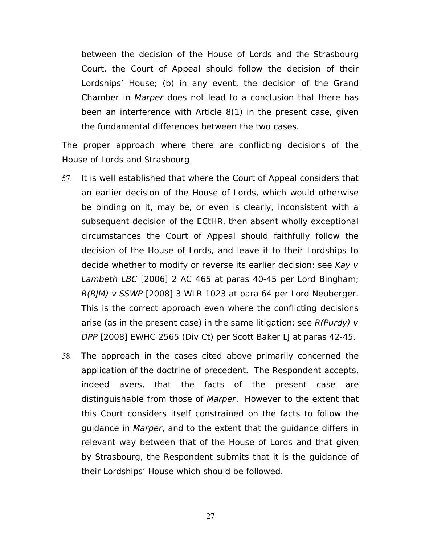between the decision of the House of Lords and the Strasbourg Court, the Court of Appeal should follow the decision of their Lordships' House; (b) in any event, the decision of the Grand Chamber in Marper does not lead to a conclusion that there has been an interference with Article 8(1) in the present case, given the fundamental differences between the two cases.

The proper approach where there are conflicting decisions of the House of Lords and Strasbourg

- 57. It is well established that where the Court of Appeal considers that an earlier decision of the House of Lords, which would otherwise be binding on it, may be, or even is clearly, inconsistent with a subsequent decision of the ECtHR, then absent wholly exceptional circumstances the Court of Appeal should faithfully follow the decision of the House of Lords, and leave it to their Lordships to decide whether to modify or reverse its earlier decision: see Kay v Lambeth LBC [2006] 2 AC 465 at paras 40-45 per Lord Bingham; R(RJM) v SSWP [2008] 3 WLR 1023 at para 64 per Lord Neuberger. This is the correct approach even where the conflicting decisions arise (as in the present case) in the same litigation: see  $R(Purdy)$  v DPP [2008] EWHC 2565 (Div Ct) per Scott Baker LJ at paras 42-45.
- 58. The approach in the cases cited above primarily concerned the application of the doctrine of precedent. The Respondent accepts, indeed avers, that the facts of the present case are distinguishable from those of Marper. However to the extent that this Court considers itself constrained on the facts to follow the guidance in Marper, and to the extent that the guidance differs in relevant way between that of the House of Lords and that given by Strasbourg, the Respondent submits that it is the guidance of their Lordships' House which should be followed.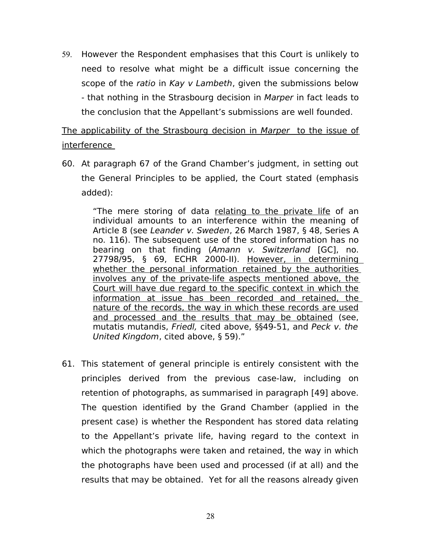59. However the Respondent emphasises that this Court is unlikely to need to resolve what might be a difficult issue concerning the scope of the ratio in Kay v Lambeth, given the submissions below - that nothing in the Strasbourg decision in Marper in fact leads to the conclusion that the Appellant's submissions are well founded.

The applicability of the Strasbourg decision in Marper to the issue of interference

60. At paragraph 67 of the Grand Chamber's judgment, in setting out the General Principles to be applied, the Court stated (emphasis added):

> "The mere storing of data relating to the private life of an individual amounts to an interference within the meaning of Article 8 (see Leander v. Sweden, 26 March 1987, § 48, Series A no. 116). The subsequent use of the stored information has no bearing on that finding (Amann v. Switzerland [GC], no. 27798/95, § 69, ECHR 2000-II). However, in determining whether the personal information retained by the authorities involves any of the private-life aspects mentioned above, the Court will have due regard to the specific context in which the information at issue has been recorded and retained, the nature of the records, the way in which these records are used and processed and the results that may be obtained (see, mutatis mutandis, Friedl, cited above, §§49-51, and Peck v. the United Kingdom, cited above, § 59)."

61. This statement of general principle is entirely consistent with the principles derived from the previous case-law, including on retention of photographs, as summarised in paragraph [49] above. The question identified by the Grand Chamber (applied in the present case) is whether the Respondent has stored data relating to the Appellant's private life, having regard to the context in which the photographs were taken and retained, the way in which the photographs have been used and processed (if at all) and the results that may be obtained. Yet for all the reasons already given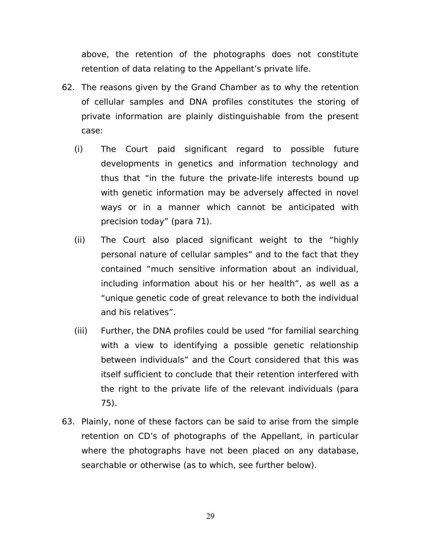above, the retention of the photographs does not constitute retention of data relating to the Appellant's private life.

- 62. The reasons given by the Grand Chamber as to why the retention of cellular samples and DNA profiles constitutes the storing of private information are plainly distinguishable from the present case:
	- (i) The Court paid significant regard to possible future developments in genetics and information technology and thus that "in the future the private-life interests bound up with genetic information may be adversely affected in novel ways or in a manner which cannot be anticipated with precision today" (para 71).
	- (ii) The Court also placed significant weight to the "highly personal nature of cellular samples" and to the fact that they contained "much sensitive information about an individual, including information about his or her health", as well as a "unique genetic code of great relevance to both the individual and his relatives".
	- (iii) Further, the DNA profiles could be used "for familial searching with a view to identifying a possible genetic relationship between individuals" and the Court considered that this was itself sufficient to conclude that their retention interfered with the right to the private life of the relevant individuals (para 75).
- 63. Plainly, none of these factors can be said to arise from the simple retention on CD's of photographs of the Appellant, in particular where the photographs have not been placed on any database, searchable or otherwise (as to which, see further below).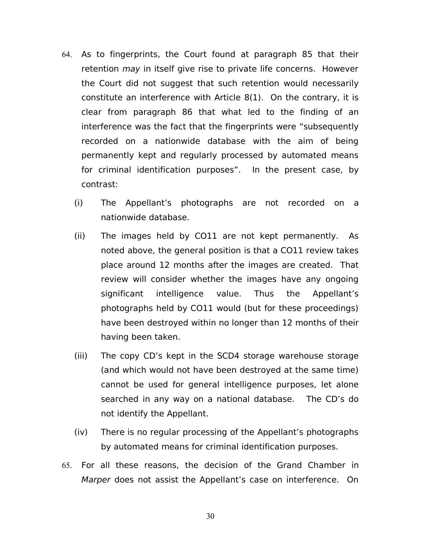- 64. As to fingerprints, the Court found at paragraph 85 that their retention may in itself give rise to private life concerns. However the Court did not suggest that such retention would necessarily constitute an interference with Article 8(1). On the contrary, it is clear from paragraph 86 that what led to the finding of an interference was the fact that the fingerprints were "subsequently recorded on a nationwide database with the aim of being permanently kept and regularly processed by automated means for criminal identification purposes". In the present case, by contrast:
	- (i) The Appellant's photographs are not recorded on a nationwide database.
	- (ii) The images held by CO11 are not kept permanently. As noted above, the general position is that a CO11 review takes place around 12 months after the images are created. That review will consider whether the images have any ongoing significant intelligence value. Thus the Appellant's photographs held by CO11 would (but for these proceedings) have been destroyed within no longer than 12 months of their having been taken.
	- (iii) The copy CD's kept in the SCD4 storage warehouse storage (and which would not have been destroyed at the same time) cannot be used for general intelligence purposes, let alone searched in any way on a national database. The CD's do not identify the Appellant.
	- (iv) There is no regular processing of the Appellant's photographs by automated means for criminal identification purposes.
- 65. For all these reasons, the decision of the Grand Chamber in Marper does not assist the Appellant's case on interference. On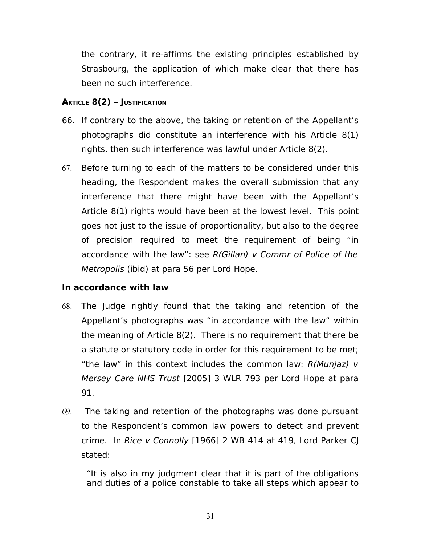the contrary, it re-affirms the existing principles established by Strasbourg, the application of which make clear that there has been no such interference.

## **ARTICLE 8(2) – JUSTIFICATION**

- 66. If contrary to the above, the taking or retention of the Appellant's photographs did constitute an interference with his Article 8(1) rights, then such interference was lawful under Article 8(2).
- 67. Before turning to each of the matters to be considered under this heading, the Respondent makes the overall submission that any interference that there might have been with the Appellant's Article 8(1) rights would have been at the lowest level. This point goes not just to the issue of proportionality, but also to the degree of precision required to meet the requirement of being "in accordance with the law": see R(Gillan) v Commr of Police of the Metropolis (ibid) at para 56 per Lord Hope.

# **In accordance with law**

- 68. The Judge rightly found that the taking and retention of the Appellant's photographs was "in accordance with the law" within the meaning of Article 8(2). There is no requirement that there be a statute or statutory code in order for this requirement to be met; "the law" in this context includes the common law:  $R(Munjaz)$  v Mersey Care NHS Trust [2005] 3 WLR 793 per Lord Hope at para 91.
- 69. The taking and retention of the photographs was done pursuant to the Respondent's common law powers to detect and prevent crime. In Rice v Connolly [1966] 2 WB 414 at 419, Lord Parker CJ stated:

"It is also in my judgment clear that it is part of the obligations and duties of a police constable to take all steps which appear to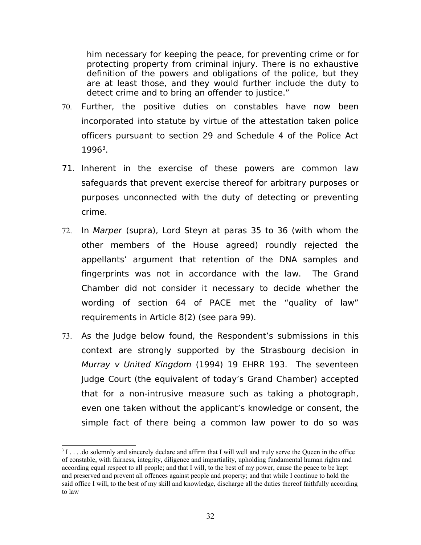him necessary for keeping the peace, for preventing crime or for protecting property from criminal injury. There is no exhaustive definition of the powers and obligations of the police, but they are at least those, and they would further include the duty to detect crime and to bring an offender to justice."

- 70. Further, the positive duties on constables have now been incorporated into statute by virtue of the attestation taken police officers pursuant to section 29 and Schedule 4 of the Police Act 1996<sup>[3](#page-31-0)</sup>.
- 71. Inherent in the exercise of these powers are common law safeguards that prevent exercise thereof for arbitrary purposes or purposes unconnected with the duty of detecting or preventing crime.
- 72. In Marper (supra), Lord Steyn at paras 35 to 36 (with whom the other members of the House agreed) roundly rejected the appellants' argument that retention of the DNA samples and fingerprints was not in accordance with the law. The Grand Chamber did not consider it necessary to decide whether the wording of section 64 of PACE met the "quality of law" requirements in Article 8(2) (see para 99).
- 73. As the Judge below found, the Respondent's submissions in this context are strongly supported by the Strasbourg decision in Murray v United Kingdom (1994) 19 EHRR 193. The seventeen Judge Court (the equivalent of today's Grand Chamber) accepted that for a non-intrusive measure such as taking a photograph, even one taken without the applicant's knowledge or consent, the simple fact of there being a common law power to do so was

<span id="page-31-0"></span><sup>&</sup>lt;sup>3</sup> I . . . .do solemnly and sincerely declare and affirm that I will well and truly serve the Queen in the office of constable, with fairness, integrity, diligence and impartiality, upholding fundamental human rights and according equal respect to all people; and that I will, to the best of my power, cause the peace to be kept and preserved and prevent all offences against people and property; and that while I continue to hold the said office I will, to the best of my skill and knowledge, discharge all the duties thereof faithfully according to law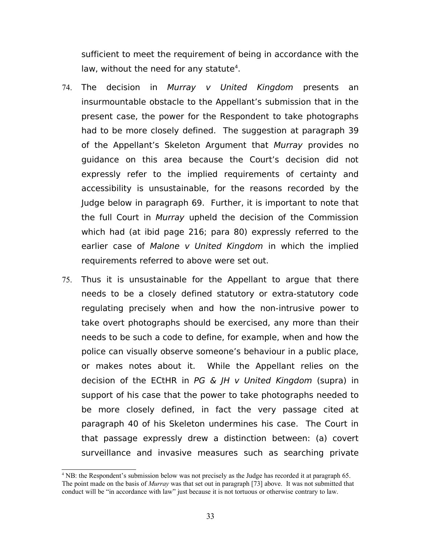sufficient to meet the requirement of being in accordance with the law, without the need for any statute<sup>[4](#page-32-0)</sup>.

- 74. The decision in Murray v United Kingdom presents an insurmountable obstacle to the Appellant's submission that in the present case, the power for the Respondent to take photographs had to be more closely defined. The suggestion at paragraph 39 of the Appellant's Skeleton Argument that Murray provides no guidance on this area because the Court's decision did not expressly refer to the implied requirements of certainty and accessibility is unsustainable, for the reasons recorded by the Judge below in paragraph 69. Further, it is important to note that the full Court in Murray upheld the decision of the Commission which had (at ibid page 216; para 80) expressly referred to the earlier case of Malone v United Kingdom in which the implied requirements referred to above were set out.
- 75. Thus it is unsustainable for the Appellant to argue that there needs to be a closely defined statutory or extra-statutory code regulating precisely when and how the non-intrusive power to take overt photographs should be exercised, any more than their needs to be such a code to define, for example, when and how the police can visually observe someone's behaviour in a public place, or makes notes about it. While the Appellant relies on the decision of the ECtHR in  $PG \& JH \vee United Kingdom$  (supra) in support of his case that the power to take photographs needed to be more closely defined, in fact the very passage cited at paragraph 40 of his Skeleton undermines his case. The Court in that passage expressly drew a distinction between: (a) covert surveillance and invasive measures such as searching private

<span id="page-32-0"></span><sup>&</sup>lt;sup>4</sup> NB: the Respondent's submission below was not precisely as the Judge has recorded it at paragraph 65. The point made on the basis of *Murray* was that set out in paragraph [73] above. It was not submitted that conduct will be "in accordance with law" just because it is not tortuous or otherwise contrary to law.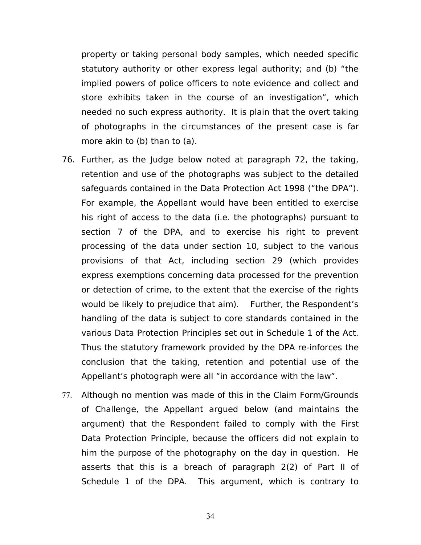property or taking personal body samples, which needed specific statutory authority or other express legal authority; and (b) "the implied powers of police officers to note evidence and collect and store exhibits taken in the course of an investigation", which needed no such express authority. It is plain that the overt taking of photographs in the circumstances of the present case is far more akin to (b) than to (a).

- 76. Further, as the Judge below noted at paragraph 72, the taking, retention and use of the photographs was subject to the detailed safeguards contained in the Data Protection Act 1998 ("the DPA"). For example, the Appellant would have been entitled to exercise his right of access to the data (i.e. the photographs) pursuant to section 7 of the DPA, and to exercise his right to prevent processing of the data under section 10, subject to the various provisions of that Act, including section 29 (which provides express exemptions concerning data processed for the prevention or detection of crime, to the extent that the exercise of the rights would be likely to prejudice that aim). Further, the Respondent's handling of the data is subject to core standards contained in the various Data Protection Principles set out in Schedule 1 of the Act. Thus the statutory framework provided by the DPA re-inforces the conclusion that the taking, retention and potential use of the Appellant's photograph were all "in accordance with the law".
- 77. Although no mention was made of this in the Claim Form/Grounds of Challenge, the Appellant argued below (and maintains the argument) that the Respondent failed to comply with the First Data Protection Principle, because the officers did not explain to him the purpose of the photography on the day in question. He asserts that this is a breach of paragraph 2(2) of Part II of Schedule 1 of the DPA. This argument, which is contrary to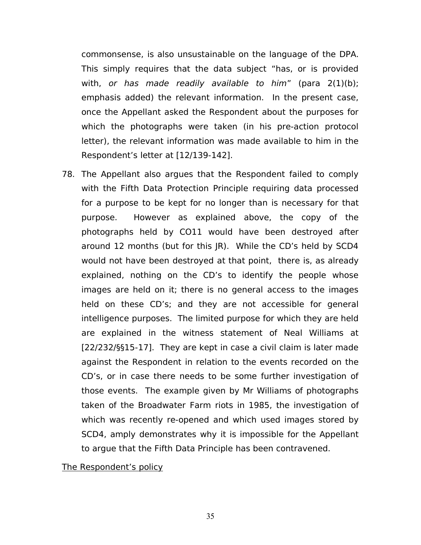commonsense, is also unsustainable on the language of the DPA. This simply requires that the data subject "has, or is provided with, or has made readily available to him" (para  $2(1)(b)$ ; emphasis added) the relevant information. In the present case, once the Appellant asked the Respondent about the purposes for which the photographs were taken (in his pre-action protocol letter), the relevant information was made available to him in the Respondent's letter at [12/139-142].

78. The Appellant also argues that the Respondent failed to comply with the Fifth Data Protection Principle requiring data processed for a purpose to be kept for no longer than is necessary for that purpose. However as explained above, the copy of the photographs held by CO11 would have been destroyed after around 12 months (but for this JR). While the CD's held by SCD4 would not have been destroyed at that point, there is, as already explained, nothing on the CD's to identify the people whose images are held on it; there is no general access to the images held on these CD's; and they are not accessible for general intelligence purposes. The limited purpose for which they are held are explained in the witness statement of Neal Williams at [22/232/§§15-17]. They are kept in case a civil claim is later made against the Respondent in relation to the events recorded on the CD's, or in case there needs to be some further investigation of those events. The example given by Mr Williams of photographs taken of the Broadwater Farm riots in 1985, the investigation of which was recently re-opened and which used images stored by SCD4, amply demonstrates why it is impossible for the Appellant to argue that the Fifth Data Principle has been contravened.

The Respondent's policy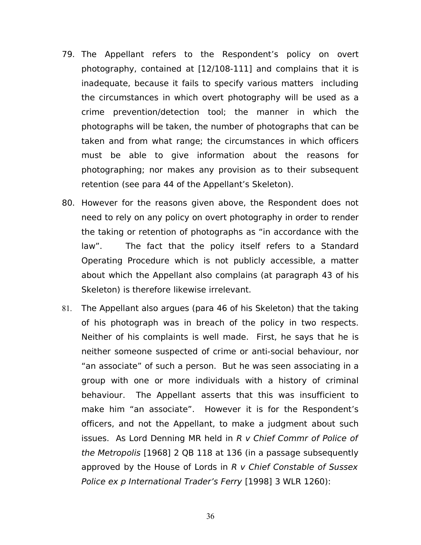- 79. The Appellant refers to the Respondent's policy on overt photography, contained at [12/108-111] and complains that it is inadequate, because it fails to specify various matters including the circumstances in which overt photography will be used as a crime prevention/detection tool; the manner in which the photographs will be taken, the number of photographs that can be taken and from what range; the circumstances in which officers must be able to give information about the reasons for photographing; nor makes any provision as to their subsequent retention (see para 44 of the Appellant's Skeleton).
- 80. However for the reasons given above, the Respondent does not need to rely on any policy on overt photography in order to render the taking or retention of photographs as "in accordance with the law". The fact that the policy itself refers to a Standard Operating Procedure which is not publicly accessible, a matter about which the Appellant also complains (at paragraph 43 of his Skeleton) is therefore likewise irrelevant.
- 81. The Appellant also argues (para 46 of his Skeleton) that the taking of his photograph was in breach of the policy in two respects. Neither of his complaints is well made. First, he says that he is neither someone suspected of crime or anti-social behaviour, nor "an associate" of such a person. But he was seen associating in a group with one or more individuals with a history of criminal behaviour. The Appellant asserts that this was insufficient to make him "an associate". However it is for the Respondent's officers, and not the Appellant, to make a judgment about such issues. As Lord Denning MR held in R v Chief Commr of Police of the Metropolis [1968] 2 QB 118 at 136 (in a passage subsequently approved by the House of Lords in  $R$  v Chief Constable of Sussex Police ex p International Trader's Ferry [1998] 3 WLR 1260):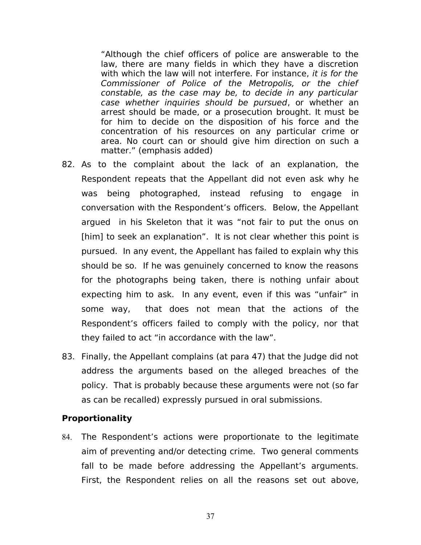"Although the chief officers of police are answerable to the law, there are many fields in which they have a discretion with which the law will not interfere. For instance, it is for the Commissioner of Police of the Metropolis, or the chief constable, as the case may be, to decide in any particular case whether inquiries should be pursued, or whether an arrest should be made, or a prosecution brought. It must be for him to decide on the disposition of his force and the concentration of his resources on any particular crime or area. No court can or should give him direction on such a matter." (emphasis added)

- 82. As to the complaint about the lack of an explanation, the Respondent repeats that the Appellant did not even ask why he was being photographed, instead refusing to engage in conversation with the Respondent's officers. Below, the Appellant argued in his Skeleton that it was "not fair to put the onus on [him] to seek an explanation". It is not clear whether this point is pursued. In any event, the Appellant has failed to explain why this should be so. If he was genuinely concerned to know the reasons for the photographs being taken, there is nothing unfair about expecting him to ask. In any event, even if this was "unfair" in some way, that does not mean that the actions of the Respondent's officers failed to comply with the policy, nor that they failed to act "in accordance with the law".
- 83. Finally, the Appellant complains (at para 47) that the Judge did not address the arguments based on the alleged breaches of the policy. That is probably because these arguments were not (so far as can be recalled) expressly pursued in oral submissions.

## **Proportionality**

84. The Respondent's actions were proportionate to the legitimate aim of preventing and/or detecting crime. Two general comments fall to be made before addressing the Appellant's arguments. First, the Respondent relies on all the reasons set out above,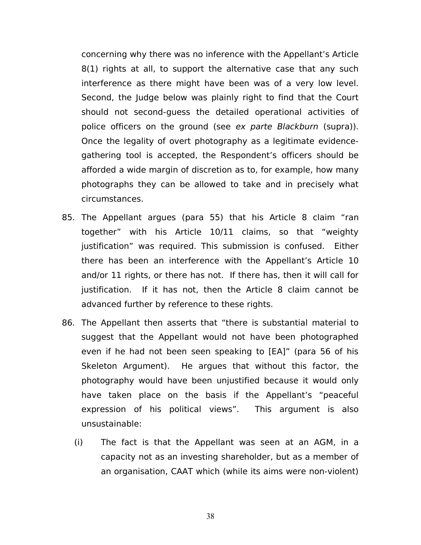concerning why there was no inference with the Appellant's Article 8(1) rights at all, to support the alternative case that any such interference as there might have been was of a very low level. Second, the Judge below was plainly right to find that the Court should not second-guess the detailed operational activities of police officers on the ground (see ex parte Blackburn (supra)). Once the legality of overt photography as a legitimate evidencegathering tool is accepted, the Respondent's officers should be afforded a wide margin of discretion as to, for example, how many photographs they can be allowed to take and in precisely what circumstances.

- 85. The Appellant argues (para 55) that his Article 8 claim "ran together" with his Article 10/11 claims, so that "weighty justification" was required. This submission is confused. Either there has been an interference with the Appellant's Article 10 and/or 11 rights, or there has not. If there has, then it will call for justification. If it has not, then the Article 8 claim cannot be advanced further by reference to these rights.
- 86. The Appellant then asserts that "there is substantial material to suggest that the Appellant would not have been photographed even if he had not been seen speaking to [EA]" (para 56 of his Skeleton Argument). He argues that without this factor, the photography would have been unjustified because it would only have taken place on the basis if the Appellant's "peaceful expression of his political views". This argument is also unsustainable:
	- (i) The fact is that the Appellant was seen at an AGM, in a capacity not as an investing shareholder, but as a member of an organisation, CAAT which (while its aims were non-violent)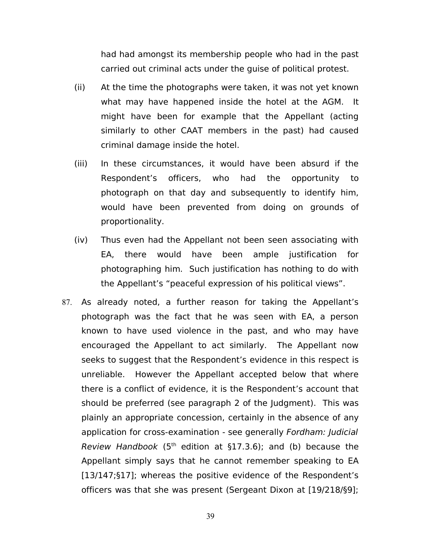had had amongst its membership people who had in the past carried out criminal acts under the guise of political protest.

- (ii) At the time the photographs were taken, it was not yet known what may have happened inside the hotel at the AGM. It might have been for example that the Appellant (acting similarly to other CAAT members in the past) had caused criminal damage inside the hotel.
- (iii) In these circumstances, it would have been absurd if the Respondent's officers, who had the opportunity to photograph on that day and subsequently to identify him, would have been prevented from doing on grounds of proportionality.
- (iv) Thus even had the Appellant not been seen associating with EA, there would have been ample justification for photographing him. Such justification has nothing to do with the Appellant's "peaceful expression of his political views".
- 87. As already noted, a further reason for taking the Appellant's photograph was the fact that he was seen with EA, a person known to have used violence in the past, and who may have encouraged the Appellant to act similarly. The Appellant now seeks to suggest that the Respondent's evidence in this respect is unreliable. However the Appellant accepted below that where there is a conflict of evidence, it is the Respondent's account that should be preferred (see paragraph 2 of the Judgment). This was plainly an appropriate concession, certainly in the absence of any application for cross-examination - see generally Fordham: Judicial Review Handbook  $(5<sup>th</sup>$  edition at §17.3.6); and (b) because the Appellant simply says that he cannot remember speaking to EA [13/147;§17]; whereas the positive evidence of the Respondent's officers was that she was present (Sergeant Dixon at [19/218/§9];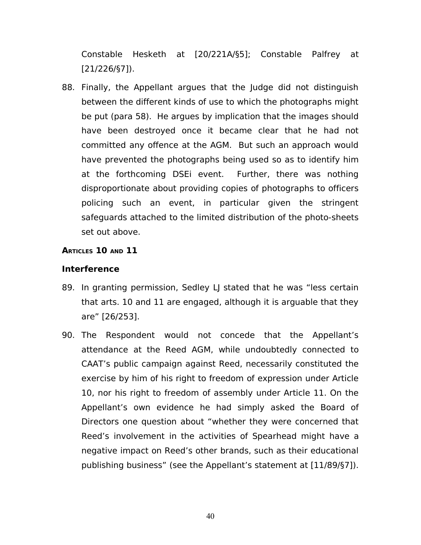Constable Hesketh at [20/221A/§5]; Constable Palfrey at [21/226/§7]).

88. Finally, the Appellant argues that the Judge did not distinguish between the different kinds of use to which the photographs might be put (para 58). He argues by implication that the images should have been destroyed once it became clear that he had not committed any offence at the AGM. But such an approach would have prevented the photographs being used so as to identify him at the forthcoming DSEi event. Further, there was nothing disproportionate about providing copies of photographs to officers policing such an event, in particular given the stringent safeguards attached to the limited distribution of the photo-sheets set out above.

## **ARTICLES 10 AND 11**

## **Interference**

- 89. In granting permission, Sedley LJ stated that he was "less certain that arts. 10 and 11 are engaged, although it is arguable that they are" [26/253].
- 90. The Respondent would not concede that the Appellant's attendance at the Reed AGM, while undoubtedly connected to CAAT's public campaign against Reed, necessarily constituted the exercise by him of his right to freedom of expression under Article 10, nor his right to freedom of assembly under Article 11. On the Appellant's own evidence he had simply asked the Board of Directors one question about "whether they were concerned that Reed's involvement in the activities of Spearhead might have a negative impact on Reed's other brands, such as their educational publishing business" (see the Appellant's statement at [11/89/§7]).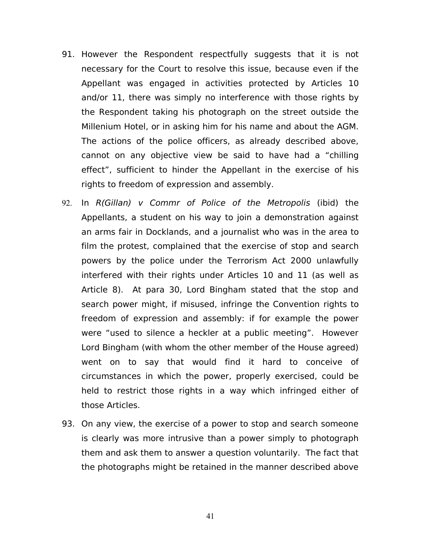- 91. However the Respondent respectfully suggests that it is not necessary for the Court to resolve this issue, because even if the Appellant was engaged in activities protected by Articles 10 and/or 11, there was simply no interference with those rights by the Respondent taking his photograph on the street outside the Millenium Hotel, or in asking him for his name and about the AGM. The actions of the police officers, as already described above, cannot on any objective view be said to have had a "chilling effect", sufficient to hinder the Appellant in the exercise of his rights to freedom of expression and assembly.
- 92. In R(Gillan) v Commr of Police of the Metropolis (ibid) the Appellants, a student on his way to join a demonstration against an arms fair in Docklands, and a journalist who was in the area to film the protest, complained that the exercise of stop and search powers by the police under the Terrorism Act 2000 unlawfully interfered with their rights under Articles 10 and 11 (as well as Article 8). At para 30, Lord Bingham stated that the stop and search power might, if misused, infringe the Convention rights to freedom of expression and assembly: if for example the power were "used to silence a heckler at a public meeting". However Lord Bingham (with whom the other member of the House agreed) went on to say that would find it hard to conceive of circumstances in which the power, properly exercised, could be held to restrict those rights in a way which infringed either of those Articles.
- 93. On any view, the exercise of a power to stop and search someone is clearly was more intrusive than a power simply to photograph them and ask them to answer a question voluntarily. The fact that the photographs might be retained in the manner described above

41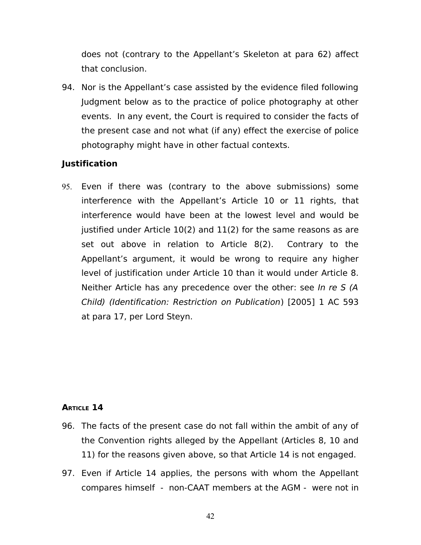does not (contrary to the Appellant's Skeleton at para 62) affect that conclusion.

94. Nor is the Appellant's case assisted by the evidence filed following Judgment below as to the practice of police photography at other events. In any event, the Court is required to consider the facts of the present case and not what (if any) effect the exercise of police photography might have in other factual contexts.

# **Justification**

95. Even if there was (contrary to the above submissions) some interference with the Appellant's Article 10 or 11 rights, that interference would have been at the lowest level and would be justified under Article 10(2) and 11(2) for the same reasons as are set out above in relation to Article 8(2). Contrary to the Appellant's argument, it would be wrong to require any higher level of justification under Article 10 than it would under Article 8. Neither Article has any precedence over the other: see In re S (A Child) (Identification: Restriction on Publication) [2005] 1 AC 593 at para 17, per Lord Steyn.

## **ARTICLE 14**

- 96. The facts of the present case do not fall within the ambit of any of the Convention rights alleged by the Appellant (Articles 8, 10 and 11) for the reasons given above, so that Article 14 is not engaged.
- 97. Even if Article 14 applies, the persons with whom the Appellant compares himself - non-CAAT members at the AGM - were not in